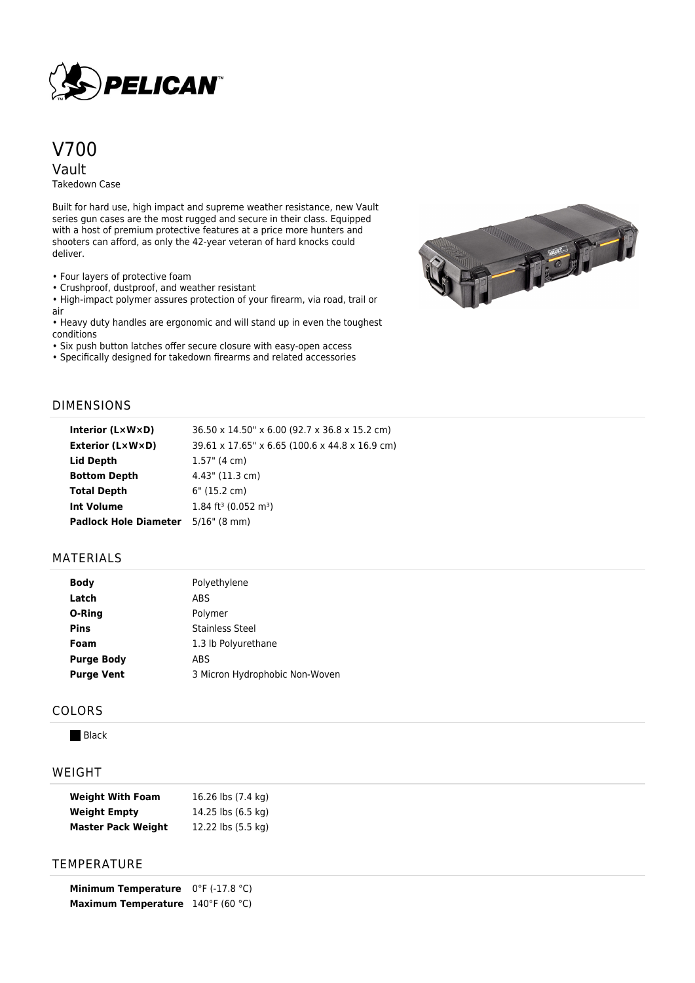

# V700 Vault

Takedown Case

Built for hard use, high impact and supreme weather resistance, new Vault series gun cases are the most rugged and secure in their class. Equipped with a host of premium protective features at a price more hunters and shooters can afford, as only the 42-year veteran of hard knocks could deliver.

• Four layers of protective foam

• Crushproof, dustproof, and weather resistant

• High-impact polymer assures protection of your firearm, via road, trail or air

• Heavy duty handles are ergonomic and will stand up in even the toughest conditions

• Six push button latches offer secure closure with easy-open access

• Specifically designed for takedown firearms and related accessories



## DIMENSIONS

| Interior $(L \times W \times D)$ | 36.50 x 14.50" x 6.00 (92.7 x 36.8 x 15.2 cm)  |
|----------------------------------|------------------------------------------------|
| Exterior (L×W×D)                 | 39.61 x 17.65" x 6.65 (100.6 x 44.8 x 16.9 cm) |
| Lid Depth                        | $1.57$ " (4 cm)                                |
| <b>Bottom Depth</b>              | 4.43" (11.3 cm)                                |
| <b>Total Depth</b>               | 6" (15.2 cm)                                   |
| <b>Int Volume</b>                | $1.84$ ft <sup>3</sup> (0.052 m <sup>3</sup> ) |
| <b>Padlock Hole Diameter</b>     | $5/16$ " (8 mm)                                |

## MATERIALS

|                   | <b>I</b> UITCHITE              |
|-------------------|--------------------------------|
| Latch             | ABS                            |
| O-Ring            | Polymer                        |
| <b>Pins</b>       | <b>Stainless Steel</b>         |
| Foam              | 1.3 lb Polyurethane            |
| <b>Purge Body</b> | ABS                            |
| <b>Purge Vent</b> | 3 Micron Hydrophobic Non-Woven |
|                   |                                |

**Body** Polyethylene

#### COLORS

**Black** 

### WEIGHT

| <b>Weight With Foam</b>   | 16.26 lbs (7.4 kg) |
|---------------------------|--------------------|
| <b>Weight Empty</b>       | 14.25 lbs (6.5 kg) |
| <b>Master Pack Weight</b> | 12.22 lbs (5.5 kg) |

# **TEMPERATURE**

**Minimum Temperature** 0°F (-17.8 °C) **Maximum Temperature** 140°F (60 °C)